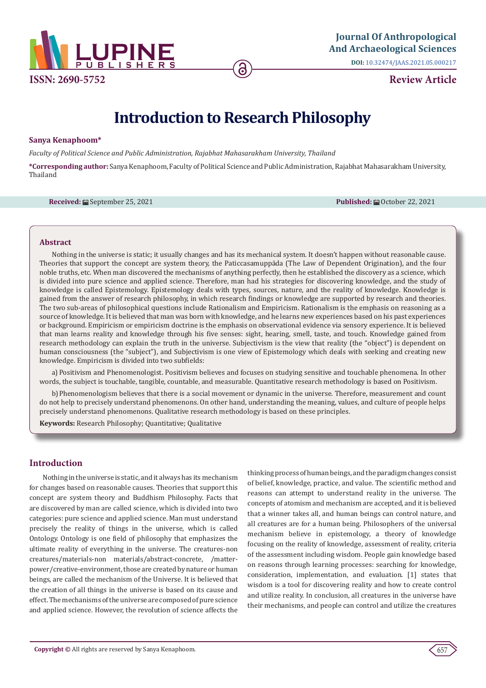

**Journal Of Anthropological [And Archaeological Sciences](https://lupinepublishers.com/anthropological-and-archaeological-sciences/)**

**DOI:** [10.32474/JAAS.2021.05.0002](http://dx.doi.org/10.32474/JAAS.2021.05.000217)17

**Review Article**

# **Introduction to Research Philosophy**

# **Sanya Kenaphoom\***

*Faculty of Political Science and Public Administration, Rajabhat Mahasarakham University, Thailand*

**\*Corresponding author:** Sanya Kenaphoom, Faculty of Political Science and Public Administration, Rajabhat Mahasarakham University, Thailand

**Received:** ■ September 25, 2021 **Published:** ■ Published: ■ October 22, 2021

# **Abstract**

Nothing in the universe is static; it usually changes and has its mechanical system. It doesn't happen without reasonable cause. Theories that support the concept are system theory, the Paticcasamuppāda (The Law of Dependent Origination), and the four noble truths, etc. When man discovered the mechanisms of anything perfectly, then he established the discovery as a science, which is divided into pure science and applied science. Therefore, man had his strategies for discovering knowledge, and the study of knowledge is called Epistemology. Epistemology deals with types, sources, nature, and the reality of knowledge. Knowledge is gained from the answer of research philosophy, in which research findings or knowledge are supported by research and theories. The two sub-areas of philosophical questions include Rationalism and Empiricism. Rationalism is the emphasis on reasoning as a source of knowledge. It is believed that man was born with knowledge, and he learns new experiences based on his past experiences or background. Empiricism or empiricism doctrine is the emphasis on observational evidence via sensory experience. It is believed that man learns reality and knowledge through his five senses: sight, hearing, smell, taste, and touch. Knowledge gained from research methodology can explain the truth in the universe. Subjectivism is the view that reality (the "object") is dependent on human consciousness (the "subject"), and Subjectivism is one view of Epistemology which deals with seeking and creating new knowledge. Empiricism is divided into two subfields:

a)Positivism and Phenomenologist. Positivism believes and focuses on studying sensitive and touchable phenomena. In other words, the subject is touchable, tangible, countable, and measurable. Quantitative research methodology is based on Positivism.

b)Phenomenologism believes that there is a social movement or dynamic in the universe. Therefore, measurement and count do not help to precisely understand phenomenons. On other hand, understanding the meaning, values, and culture of people helps precisely understand phenomenons. Qualitative research methodology is based on these principles.

**Keywords:** Research Philosophy; Quantitative; Qualitative

# **Introduction**

 Nothing in the universe is static, and it always has its mechanism for changes based on reasonable causes. Theories that support this concept are system theory and Buddhism Philosophy. Facts that are discovered by man are called science, which is divided into two categories: pure science and applied science. Man must understand precisely the reality of things in the universe, which is called Ontology. Ontology is one field of philosophy that emphasizes the ultimate reality of everything in the universe. The creatures-non creatures/materials-non materials/abstract-concrete, /matterpower/creative-environment, those are created by nature or human beings, are called the mechanism of the Universe. It is believed that the creation of all things in the universe is based on its cause and effect. The mechanisms of the universe are composed of pure science and applied science. However, the revolution of science affects the

thinking process of human beings, and the paradigm changes consist of belief, knowledge, practice, and value. The scientific method and reasons can attempt to understand reality in the universe. The concepts of atomism and mechanism are accepted, and it is believed that a winner takes all, and human beings can control nature, and all creatures are for a human being. Philosophers of the universal mechanism believe in epistemology, a theory of knowledge focusing on the reality of knowledge, assessment of reality, criteria of the assessment including wisdom. People gain knowledge based on reasons through learning processes: searching for knowledge, consideration, implementation, and evaluation. [1] states that wisdom is a tool for discovering reality and how to create control and utilize reality. In conclusion, all creatures in the universe have their mechanisms, and people can control and utilize the creatures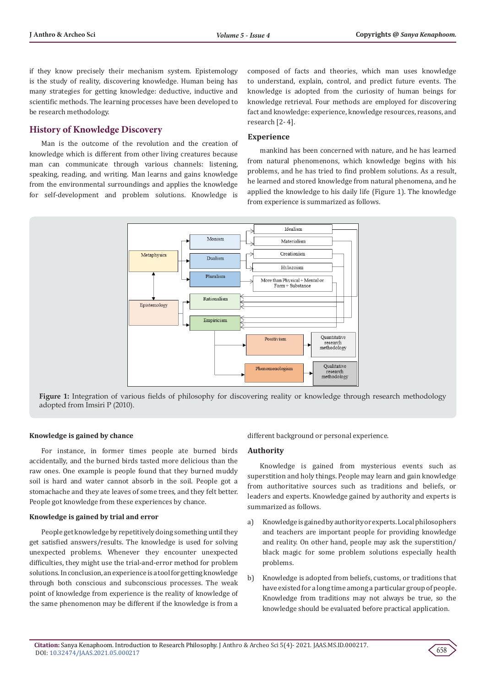if they know precisely their mechanism system. Epistemology is the study of reality, discovering knowledge. Human being has many strategies for getting knowledge: deductive, inductive and scientific methods. The learning processes have been developed to be research methodology.

# **History of Knowledge Discovery**

Man is the outcome of the revolution and the creation of knowledge which is different from other living creatures because man can communicate through various channels: listening, speaking, reading, and writing. Man learns and gains knowledge from the environmental surroundings and applies the knowledge for self-development and problem solutions. Knowledge is

composed of facts and theories, which man uses knowledge to understand, explain, control, and predict future events. The knowledge is adopted from the curiosity of human beings for knowledge retrieval. Four methods are employed for discovering fact and knowledge: experience, knowledge resources, reasons, and research [2- 4].

# **Experience**

mankind has been concerned with nature, and he has learned from natural phenomenons, which knowledge begins with his problems, and he has tried to find problem solutions. As a result, he learned and stored knowledge from natural phenomena, and he applied the knowledge to his daily life (Figure 1). The knowledge from experience is summarized as follows.



**Figure 1:** Integration of various fields of philosophy for discovering reality or knowledge through research methodology adopted from Imsiri P (2010).

#### **Knowledge is gained by chance**

For instance, in former times people ate burned birds accidentally, and the burned birds tasted more delicious than the raw ones. One example is people found that they burned muddy soil is hard and water cannot absorb in the soil. People got a stomachache and they ate leaves of some trees, and they felt better. People got knowledge from these experiences by chance.

#### **Knowledge is gained by trial and error**

People get knowledge by repetitively doing something until they get satisfied answers/results. The knowledge is used for solving unexpected problems. Whenever they encounter unexpected difficulties, they might use the trial-and-error method for problem solutions. In conclusion, an experience is a tool for getting knowledge through both conscious and subconscious processes. The weak point of knowledge from experience is the reality of knowledge of the same phenomenon may be different if the knowledge is from a

different background or personal experience.

#### **Authority**

Knowledge is gained from mysterious events such as superstition and holy things. People may learn and gain knowledge from authoritative sources such as traditions and beliefs, or leaders and experts. Knowledge gained by authority and experts is summarized as follows.

- a) Knowledge is gained by authority or experts. Local philosophers and teachers are important people for providing knowledge and reality. On other hand, people may ask the superstition/ black magic for some problem solutions especially health problems.
- b) Knowledge is adopted from beliefs, customs, or traditions that have existed for a long time among a particular group of people. Knowledge from traditions may not always be true, so the knowledge should be evaluated before practical application.

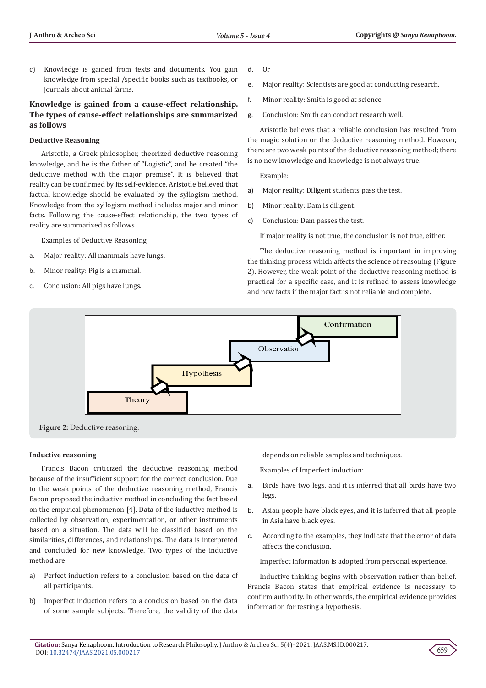c) Knowledge is gained from texts and documents. You gain knowledge from special /specific books such as textbooks, or journals about animal farms.

# **Knowledge is gained from a cause-effect relationship. The types of cause-effect relationships are summarized as follows**

# **Deductive Reasoning**

Aristotle, a Greek philosopher, theorized deductive reasoning knowledge, and he is the father of "Logistic", and he created "the deductive method with the major premise". It is believed that reality can be confirmed by its self-evidence. Aristotle believed that factual knowledge should be evaluated by the syllogism method. Knowledge from the syllogism method includes major and minor facts. Following the cause-effect relationship, the two types of reality are summarized as follows.

Examples of Deductive Reasoning

- a. Major reality: All mammals have lungs.
- b. Minor reality: Pig is a mammal.
- c. Conclusion: All pigs have lungs.
- d. Or
- e. Major reality: Scientists are good at conducting research.
- f. Minor reality: Smith is good at science
- g. Conclusion: Smith can conduct research well.

Aristotle believes that a reliable conclusion has resulted from the magic solution or the deductive reasoning method. However, there are two weak points of the deductive reasoning method; there is no new knowledge and knowledge is not always true.

Example:

- a) Major reality: Diligent students pass the test.
- b) Minor reality: Dam is diligent.
- c) Conclusion: Dam passes the test.

If major reality is not true, the conclusion is not true, either.

The deductive reasoning method is important in improving the thinking process which affects the science of reasoning (Figure 2). However, the weak point of the deductive reasoning method is practical for a specific case, and it is refined to assess knowledge and new facts if the major fact is not reliable and complete.



**Figure 2:** Deductive reasoning.

# **Inductive reasoning**

Francis Bacon criticized the deductive reasoning method because of the insufficient support for the correct conclusion. Due to the weak points of the deductive reasoning method, Francis Bacon proposed the inductive method in concluding the fact based on the empirical phenomenon [4]. Data of the inductive method is collected by observation, experimentation, or other instruments based on a situation. The data will be classified based on the similarities, differences, and relationships. The data is interpreted and concluded for new knowledge. Two types of the inductive method are:

- a) Perfect induction refers to a conclusion based on the data of all participants.
- b) Imperfect induction refers to a conclusion based on the data of some sample subjects. Therefore, the validity of the data

depends on reliable samples and techniques.

Examples of Imperfect induction:

- a. Birds have two legs, and it is inferred that all birds have two legs.
- b. Asian people have black eyes, and it is inferred that all people in Asia have black eyes.
- c. According to the examples, they indicate that the error of data affects the conclusion.

Imperfect information is adopted from personal experience.

Inductive thinking begins with observation rather than belief. Francis Bacon states that empirical evidence is necessary to confirm authority. In other words, the empirical evidence provides information for testing a hypothesis.

**Citation:** Sanya Kenaphoom. Introduction to Research Philosophy. J Anthro & Archeo Sci 5(4)- 2021. JAAS.MS.ID.000217. DOI: [10.32474/JAAS.2021.05.0002](http://dx.doi.org/10.32474/JAAS.2021.05.000217)17

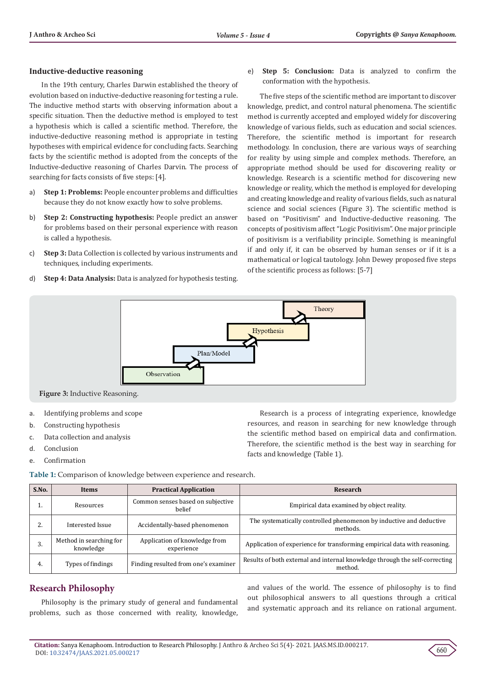# **Inductive-deductive reasoning**

In the 19th century, Charles Darwin established the theory of evolution based on inductive-deductive reasoning for testing a rule. The inductive method starts with observing information about a specific situation. Then the deductive method is employed to test a hypothesis which is called a scientific method. Therefore, the inductive-deductive reasoning method is appropriate in testing hypotheses with empirical evidence for concluding facts. Searching facts by the scientific method is adopted from the concepts of the Inductive-deductive reasoning of Charles Darvin. The process of searching for facts consists of five steps: [4].

- a) **Step 1: Problems:** People encounter problems and difficulties because they do not know exactly how to solve problems.
- b) **Step 2: Constructing hypothesis:** People predict an answer for problems based on their personal experience with reason is called a hypothesis.
- c) **Step 3:** Data Collection is collected by various instruments and techniques, including experiments.
- d) **Step 4: Data Analysis:** Data is analyzed for hypothesis testing.

e) **Step 5: Conclusion:** Data is analyzed to confirm the conformation with the hypothesis.

The five steps of the scientific method are important to discover knowledge, predict, and control natural phenomena. The scientific method is currently accepted and employed widely for discovering knowledge of various fields, such as education and social sciences. Therefore, the scientific method is important for research methodology. In conclusion, there are various ways of searching for reality by using simple and complex methods. Therefore, an appropriate method should be used for discovering reality or knowledge. Research is a scientific method for discovering new knowledge or reality, which the method is employed for developing and creating knowledge and reality of various fields, such as natural science and social sciences (Figure 3). The scientific method is based on "Positivism" and Inductive-deductive reasoning. The concepts of positivism affect "Logic Positivism". One major principle of positivism is a verifiability principle. Something is meaningful if and only if, it can be observed by human senses or if it is a mathematical or logical tautology. John Dewey proposed five steps of the scientific process as follows: [5-7]



**Figure 3:** Inductive Reasoning.

- a. Identifying problems and scope
- b. Constructing hypothesis
- c. Data collection and analysis
- d. Conclusion
- e. Confirmation

Research is a process of integrating experience, knowledge resources, and reason in searching for new knowledge through the scientific method based on empirical data and confirmation. Therefore, the scientific method is the best way in searching for facts and knowledge (Table 1).

| Table 1: Comparison of knowledge between experience and research. |
|-------------------------------------------------------------------|
|-------------------------------------------------------------------|

| S.No. | <b>Items</b>                         | <b>Practical Application</b>                | Research                                                                               |
|-------|--------------------------------------|---------------------------------------------|----------------------------------------------------------------------------------------|
|       | Resources                            | Common senses based on subjective<br>helief | Empirical data examined by object reality.                                             |
|       | Interested Issue                     | Accidentally-based phenomenon               | The systematically controlled phenomenon by inductive and deductive<br>methods.        |
| э.    | Method in searching for<br>knowledge | Application of knowledge from<br>experience | Application of experience for transforming empirical data with reasoning.              |
| 4.    | Types of findings                    | Finding resulted from one's examiner        | Results of both external and internal knowledge through the self-correcting<br>method. |

# **Research Philosophy**

Philosophy is the primary study of general and fundamental problems, such as those concerned with reality, knowledge,

and values of the world. The essence of philosophy is to find out philosophical answers to all questions through a critical and systematic approach and its reliance on rational argument.

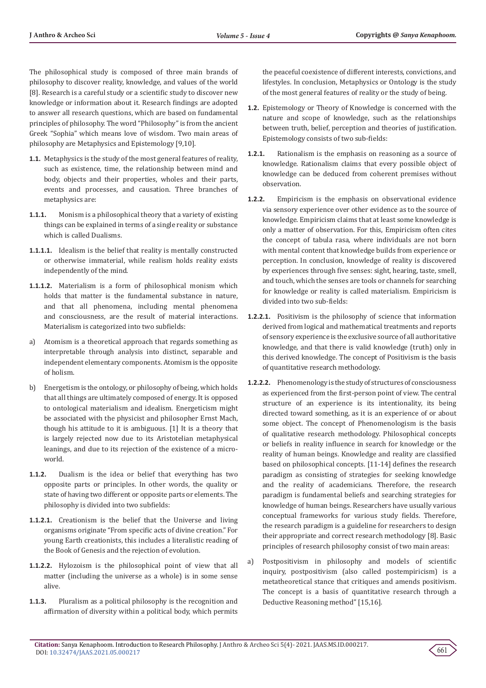The philosophical study is composed of three main brands of philosophy to discover reality, knowledge, and values of the world [8]. Research is a careful study or a scientific study to discover new knowledge or information about it. Research findings are adopted to answer all research questions, which are based on fundamental principles of philosophy. The word "Philosophy" is from the ancient Greek "Sophia" which means love of wisdom. Two main areas of philosophy are Metaphysics and Epistemology [9,10].

- **1.1.** Metaphysics is the study of the most general features of reality, such as existence, time, the relationship between mind and body, objects and their properties, wholes and their parts, events and processes, and causation. Three branches of metaphysics are:
- **1.1.1.** Monism is a philosophical theory that a variety of existing things can be explained in terms of a single reality or substance which is called Dualisms.
- **1.1.1.1.** Idealism is the belief that reality is mentally constructed or otherwise immaterial, while realism holds reality exists independently of the mind.
- **1.1.1.2.** Materialism is a form of philosophical monism which holds that matter is the fundamental substance in nature, and that all phenomena, including mental phenomena and consciousness, are the result of material interactions. Materialism is categorized into two subfields:
- a) Atomism is a theoretical approach that regards something as interpretable through analysis into distinct, separable and independent elementary components. Atomism is the opposite of holism.
- b) Energetism is the ontology, or philosophy of being, which holds that all things are ultimately composed of energy. It is opposed to ontological materialism and idealism. Energeticism might be associated with the physicist and philosopher Ernst Mach, though his attitude to it is ambiguous. [1] It is a theory that is largely rejected now due to its Aristotelian metaphysical leanings, and due to its rejection of the existence of a microworld.
- **1.1.2.** Dualism is the idea or belief that everything has two opposite parts or principles. In other words, the quality or state of having two different or opposite parts or elements. The philosophy is divided into two subfields:
- **1.1.2.1.** Creationism is the belief that the Universe and living organisms originate "From specific acts of divine creation." For young Earth creationists, this includes a literalistic reading of the Book of Genesis and the rejection of evolution.
- **1.1.2.2.** Hylozoism is the philosophical point of view that all matter (including the universe as a whole) is in some sense alive.
- **1.1.3.** Pluralism as a political philosophy is the recognition and affirmation of diversity within a political body, which permits

the peaceful coexistence of different interests, convictions, and lifestyles. In conclusion, Metaphysics or Ontology is the study of the most general features of reality or the study of being.

- **1.2.** Epistemology or Theory of Knowledge is concerned with the nature and scope of knowledge, such as the relationships between truth, belief, perception and theories of justification. Epistemology consists of two sub-fields:
- **1.2.1.** Rationalism is the emphasis on reasoning as a source of knowledge. Rationalism claims that every possible object of knowledge can be deduced from coherent premises without observation.
- **1.2.2.** Empiricism is the emphasis on observational evidence via sensory experience over other evidence as to the source of knowledge. Empiricism claims that at least some knowledge is only a matter of observation. For this, Empiricism often cites the concept of tabula rasa, where individuals are not born with mental content that knowledge builds from experience or perception. In conclusion, knowledge of reality is discovered by experiences through five senses: sight, hearing, taste, smell, and touch, which the senses are tools or channels for searching for knowledge or reality is called materialism. Empiricism is divided into two sub-fields:
- **1.2.2.1.** Positivism is the philosophy of science that information derived from logical and mathematical treatments and reports of sensory experience is the exclusive source of all authoritative knowledge, and that there is valid knowledge (truth) only in this derived knowledge. The concept of Positivism is the basis of quantitative research methodology.
- **1.2.2.2.** Phenomenology is the study of structures of consciousness as experienced from the first-person point of view. The central structure of an experience is its intentionality, its being directed toward something, as it is an experience of or about some object. The concept of Phenomenologism is the basis of qualitative research methodology. Philosophical concepts or beliefs in reality influence in search for knowledge or the reality of human beings. Knowledge and reality are classified based on philosophical concepts. [11-14] defines the research paradigm as consisting of strategies for seeking knowledge and the reality of academicians. Therefore, the research paradigm is fundamental beliefs and searching strategies for knowledge of human beings. Researchers have usually various conceptual frameworks for various study fields. Therefore, the research paradigm is a guideline for researchers to design their appropriate and correct research methodology [8]. Basic principles of research philosophy consist of two main areas:
- a) Postpositivism in philosophy and models of scientific inquiry, postpositivism (also called postempiricism) is a metatheoretical stance that critiques and amends positivism. The concept is a basis of quantitative research through a Deductive Reasoning method" [15,16].

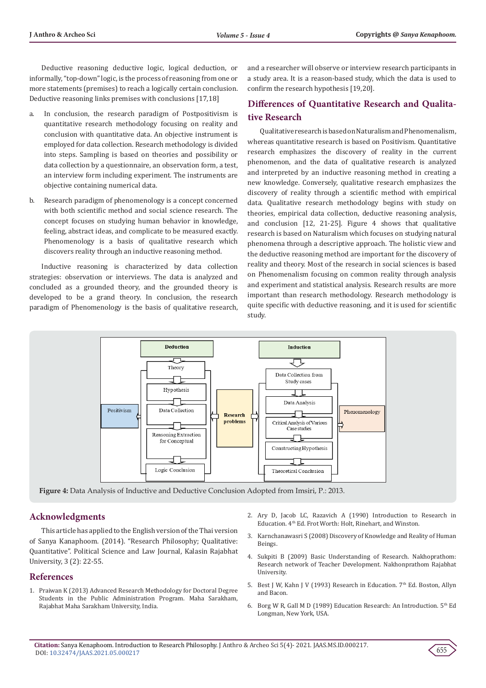Deductive reasoning deductive logic, logical deduction, or informally, "top-down" logic, is the process of reasoning from one or more statements (premises) to reach a logically certain conclusion. Deductive reasoning links premises with conclusions [17,18]

- a. In conclusion, the research paradigm of Postpositivism is quantitative research methodology focusing on reality and conclusion with quantitative data. An objective instrument is employed for data collection. Research methodology is divided into steps. Sampling is based on theories and possibility or data collection by a questionnaire, an observation form, a test, an interview form including experiment. The instruments are objective containing numerical data.
- b. Research paradigm of phenomenology is a concept concerned with both scientific method and social science research. The concept focuses on studying human behavior in knowledge, feeling, abstract ideas, and complicate to be measured exactly. Phenomenology is a basis of qualitative research which discovers reality through an inductive reasoning method.

Inductive reasoning is characterized by data collection strategies: observation or interviews. The data is analyzed and concluded as a grounded theory, and the grounded theory is developed to be a grand theory. In conclusion, the research paradigm of Phenomenology is the basis of qualitative research, and a researcher will observe or interview research participants in a study area. It is a reason-based study, which the data is used to confirm the research hypothesis [19,20].

# **Differences of Quantitative Research and Qualitative Research**

Qualitative research is based on Naturalism and Phenomenalism, whereas quantitative research is based on Positivism. Quantitative research emphasizes the discovery of reality in the current phenomenon, and the data of qualitative research is analyzed and interpreted by an inductive reasoning method in creating a new knowledge. Conversely, qualitative research emphasizes the discovery of reality through a scientific method with empirical data. Qualitative research methodology begins with study on theories, empirical data collection, deductive reasoning analysis, and conclusion [12, 21-25]. Figure 4 shows that qualitative research is based on Naturalism which focuses on studying natural phenomena through a descriptive approach. The holistic view and the deductive reasoning method are important for the discovery of reality and theory. Most of the research in social sciences is based on Phenomenalism focusing on common reality through analysis and experiment and statistical analysis. Research results are more important than research methodology. Research methodology is quite specific with deductive reasoning, and it is used for scientific study.



**Figure 4:** Data Analysis of Inductive and Deductive Conclusion Adopted from Imsiri, P.: 2013.

# **Acknowledgments**

This article has applied to the English version of the Thai version of Sanya Kanaphoom. (2014). "Research Philosophy; Qualitative: Quantitative". Political Science and Law Journal, Kalasin Rajabhat University, 3 (2): 22-55.

# **References**

- 1. Praiwan K (2013) Advanced Research Methodology for Doctoral Degree Students in the Public Administration Program. Maha Sarakham, Rajabhat Maha Sarakham University, India.
- 2. Ary D, Jacob LC, Razavich A (1990) Introduction to Research in Education. 4th Ed. Frot Worth: Holt, Rinehart, and Winston.
- 3. Karnchanawasri S (2008) Discovery of Knowledge and Reality of Human Beings.
- 4. Sukpiti B (2009) Basic Understanding of Research. Nakhoprathom: Research network of Teacher Development. Nakhonprathom Rajabhat University.
- 5. Best J W, Kahn J V (1993) Research in Education. 7<sup>th</sup> Ed. Boston, Allyn and Bacon.
- 6. Borg W R, Gall M D (1989) Education Research: An Introduction. 5th Ed Longman, New York, USA.